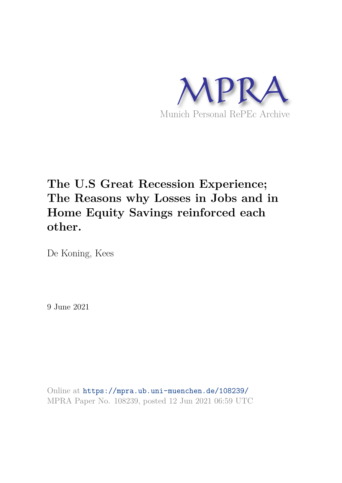

# **The U.S Great Recession Experience; The Reasons why Losses in Jobs and in Home Equity Savings reinforced each other.**

De Koning, Kees

9 June 2021

Online at https://mpra.ub.uni-muenchen.de/108239/ MPRA Paper No. 108239, posted 12 Jun 2021 06:59 UTC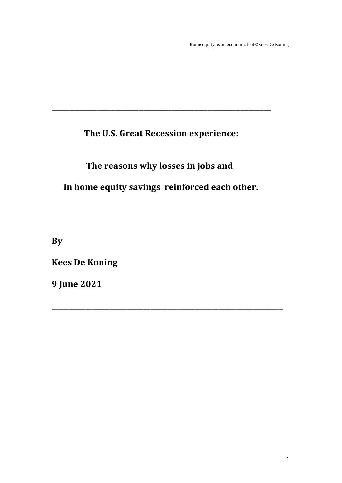# The U.S. Great Recession experience:

# The reasons why losses in jobs and

in home equity savings reinforced each other.

By

**Kees De Koning** 

**9 June 2021**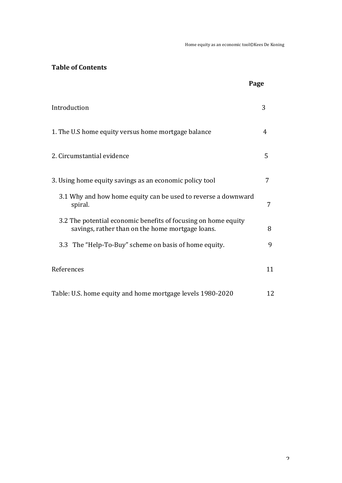# **Table of Contents**

|                                                                                                                    | Page |
|--------------------------------------------------------------------------------------------------------------------|------|
| Introduction                                                                                                       | 3    |
| 1. The U.S home equity versus home mortgage balance                                                                | 4    |
| 2. Circumstantial evidence                                                                                         | 5    |
| 3. Using home equity savings as an economic policy tool                                                            | 7    |
| 3.1 Why and how home equity can be used to reverse a downward<br>spiral.                                           | 7    |
| 3.2 The potential economic benefits of focusing on home equity<br>savings, rather than on the home mortgage loans. | 8    |
| 3.3 The "Help-To-Buy" scheme on basis of home equity.                                                              | 9    |
| References                                                                                                         | 11   |
| Table: U.S. home equity and home mortgage levels 1980-2020                                                         | 12   |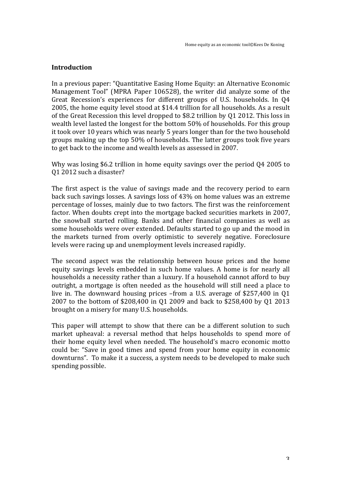#### **Introduction**

In a previous paper: "Quantitative Easing Home Equity: an Alternative Economic Management Tool" (MPRA Paper 106528), the writer did analyze some of the Great Recession's experiences for different groups of U.S. households. In 04 2005, the home equity level stood at \$14.4 trillion for all households. As a result of the Great Recession this level dropped to \$8.2 trillion by Q1 2012. This loss in wealth level lasted the longest for the bottom 50% of households. For this group it took over 10 years which was nearly 5 years longer than for the two household groups making up the top 50% of households. The latter groups took five years to get back to the income and wealth levels as assessed in 2007.

Why was losing \$6.2 trillion in home equity savings over the period Q4 2005 to O1 2012 such a disaster?

The first aspect is the value of savings made and the recovery period to earn back such savings losses. A savings loss of 43% on home values was an extreme percentage of losses, mainly due to two factors. The first was the reinforcement factor. When doubts crept into the mortgage backed securities markets in 2007, the snowball started rolling. Banks and other financial companies as well as some households were over extended. Defaults started to go up and the mood in the markets turned from overly optimistic to severely negative. Foreclosure levels were racing up and unemployment levels increased rapidly.

The second aspect was the relationship between house prices and the home equity savings levels embedded in such home values. A home is for nearly all households a necessity rather than a luxury. If a household cannot afford to buy outright, a mortgage is often needed as the household will still need a place to live in. The downward housing prices  $-$ from a U.S. average of \$257,400 in Q1 2007 to the bottom of \$208,400 in Q1 2009 and back to \$258,400 by Q1 2013 brought on a misery for many U.S. households.

This paper will attempt to show that there can be a different solution to such market upheaval: a reversal method that helps households to spend more of their home equity level when needed. The household's macro economic motto could be: "Save in good times and spend from your home equity in economic downturns". To make it a success, a system needs to be developed to make such spending possible.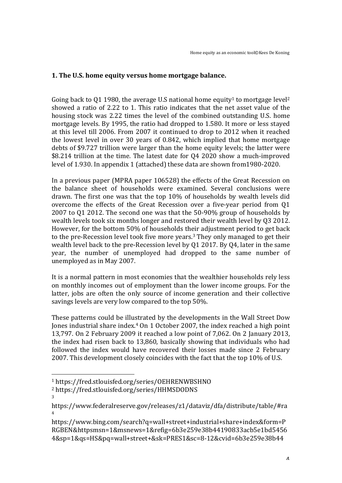## **1.** The U.S. home equity versus home mortgage balance.

Going back to 01 1980, the average U.S national home equity<sup>1</sup> to mortgage level<sup>2</sup> showed a ratio of 2.22 to 1. This ratio indicates that the net asset value of the housing stock was 2.22 times the level of the combined outstanding U.S. home mortgage levels. By 1995, the ratio had dropped to 1.580. It more or less stayed at this level till 2006. From 2007 it continued to drop to 2012 when it reached the lowest level in over 30 years of  $0.842$ , which implied that home mortgage debts of \$9.727 trillion were larger than the home equity levels; the latter were \$8.214 trillion at the time. The latest date for 04 2020 show a much-improved level of 1.930. In appendix 1 (attached) these data are shown from 1980-2020.

In a previous paper (MPRA paper 106528) the effects of the Great Recession on the balance sheet of households were examined. Several conclusions were drawn. The first one was that the top 10% of households by wealth levels did overcome the effects of the Great Recession over a five-year period from 01 2007 to Q1 2012. The second one was that the  $50-90\%$  group of households by wealth levels took six months longer and restored their wealth level by Q3 2012. However, for the bottom 50% of households their adjustment period to get back to the pre-Recession level took five more years.<sup>3</sup> They only managed to get their wealth level back to the pre-Recession level by  $Q1$  2017. By  $Q4$ , later in the same vear, the number of unemployed had dropped to the same number of unemployed as in May 2007.

It is a normal pattern in most economies that the wealthier households rely less on monthly incomes out of employment than the lower income groups. For the latter, jobs are often the only source of income generation and their collective savings levels are very low compared to the top 50%.

These patterns could be illustrated by the developments in the Wall Street Dow Jones industrial share index.<sup>4</sup> On 1 October 2007, the index reached a high point 13,797. On 2 February 2009 it reached a low point of 7,062. On 2 January 2013, the index had risen back to  $13,860$ , basically showing that individuals who had followed the index would have recovered their losses made since 2 February 2007. This development closely coincides with the fact that the top 10% of U.S.

 

3

<sup>1</sup> https://fred.stlouisfed.org/series/OEHRENWBSHNO

<sup>2</sup> https://fred.stlouisfed.org/series/HHMSDODNS

https://www.federalreserve.gov/releases/z1/dataviz/dfa/distribute/table/#ra 4

https://www.bing.com/search?q=wall+street+industrial+share+index&form=P RGBEN&httpsmsn=1&msnews=1&refig=6b3e259e38b44190833acb5e1bd5456 4&sp=1&qs=HS&pq=wall+street+&sk=PRES1&sc=8-12&cvid=6b3e259e38b44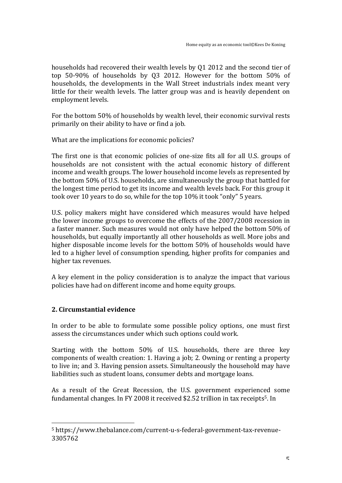households had recovered their wealth levels by 01 2012 and the second tier of top  $50-90\%$  of households by Q3 2012. However for the bottom  $50\%$  of households, the developments in the Wall Street industrials index meant very little for their wealth levels. The latter group was and is heavily dependent on employment levels.

For the bottom 50% of households by wealth level, their economic survival rests primarily on their ability to have or find a job.

What are the implications for economic policies?

The first one is that economic policies of one-size fits all for all U.S. groups of households are not consistent with the actual economic history of different income and wealth groups. The lower household income levels as represented by the bottom 50% of U.S. households, are simultaneously the group that battled for the longest time period to get its income and wealth levels back. For this group it took over 10 years to do so, while for the top 10% it took "only" 5 years.

U.S. policy makers might have considered which measures would have helped the lower income groups to overcome the effects of the 2007/2008 recession in a faster manner. Such measures would not only have helped the bottom 50% of households, but equally importantly all other households as well. More jobs and higher disposable income levels for the bottom 50% of households would have led to a higher level of consumption spending, higher profits for companies and higher tax revenues.

A key element in the policy consideration is to analyze the impact that various policies have had on different income and home equity groups.

## **2. Circumstantial evidence**

 

In order to be able to formulate some possible policy options, one must first assess the circumstances under which such options could work.

Starting with the bottom 50% of U.S. households, there are three key components of wealth creation: 1. Having a job; 2. Owning or renting a property to live in; and 3. Having pension assets. Simultaneously the household may have liabilities such as student loans, consumer debts and mortgage loans.

As a result of the Great Recession, the U.S. government experienced some fundamental changes. In FY 2008 it received \$2.52 trillion in tax receipts<sup>5</sup>. In

<sup>&</sup>lt;sup>5</sup> https://www.thebalance.com/current-u-s-federal-government-tax-revenue-3305762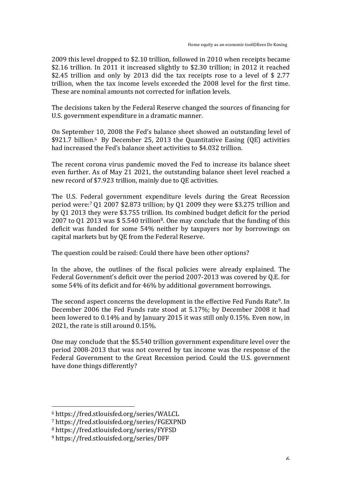2009 this level dropped to \$2.10 trillion, followed in 2010 when receipts became \$2.16 trillion. In 2011 it increased slightly to \$2.30 trillion; in 2012 it reached \$2.45 trillion and only by 2013 did the tax receipts rose to a level of \$ 2.77 trillion, when the tax income levels exceeded the 2008 level for the first time. These are nominal amounts not corrected for inflation levels.

The decisions taken by the Federal Reserve changed the sources of financing for U.S. government expenditure in a dramatic manner.

On September 10, 2008 the Fed's balance sheet showed an outstanding level of  $$921.7$  billion.<sup>6</sup> By December 25, 2013 the Quantitative Easing (OE) activities had increased the Fed's balance sheet activities to \$4.032 trillion.

The recent corona virus pandemic moved the Fed to increase its balance sheet even further. As of May 21 2021, the outstanding balance sheet level reached a new record of \$7.923 trillion, mainly due to QE activities.

The U.S. Federal government expenditure levels during the Great Recession period were:<sup>7</sup> Q1 2007 \$2.873 trillion; by Q1 2009 they were \$3.275 trillion and by 01 2013 they were \$3.755 trillion. Its combined budget deficit for the period 2007 to Q1 2013 was  $$ 5.540$  trillion<sup>8</sup>. One may conclude that the funding of this deficit was funded for some 54% neither by taxpayers nor by borrowings on capital markets but by QE from the Federal Reserve.

The question could be raised: Could there have been other options?

In the above, the outlines of the fiscal policies were already explained. The Federal Government's deficit over the period 2007-2013 was covered by Q.E. for some 54% of its deficit and for 46% by additional government borrowings.

The second aspect concerns the development in the effective Fed Funds Rate<sup>9</sup>. In December 2006 the Fed Funds rate stood at 5.17%; by December 2008 it had been lowered to  $0.14\%$  and by January 2015 it was still only  $0.15\%$ . Even now, in 2021, the rate is still around  $0.15\%$ .

One may conclude that the \$5.540 trillion government expenditure level over the period 2008-2013 that was not covered by tax income was the response of the Federal Government to the Great Recession period. Could the U.S. government have done things differently?

 

<sup>6</sup> https://fred.stlouisfed.org/series/WALCL 

<sup>7</sup> https://fred.stlouisfed.org/series/FGEXPND

<sup>8</sup> https://fred.stlouisfed.org/series/FYFSD

<sup>9</sup> https://fred.stlouisfed.org/series/DFF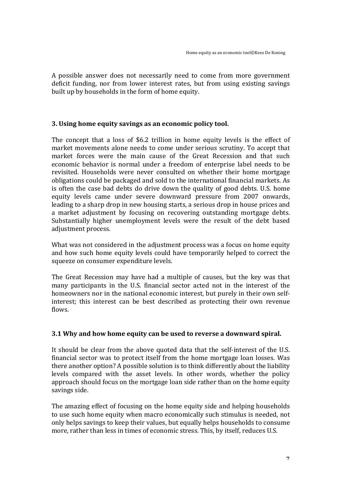A possible answer does not necessarily need to come from more government deficit funding, nor from lower interest rates, but from using existing savings built up by households in the form of home equity.

#### **3.** Using home equity savings as an economic policy tool.

The concept that a loss of \$6.2 trillion in home equity levels is the effect of market movements alone needs to come under serious scrutiny. To accept that market forces were the main cause of the Great Recession and that such economic behavior is normal under a freedom of enterprise label needs to be revisited. Households were never consulted on whether their home mortgage obligations could be packaged and sold to the international financial markets. As is often the case bad debts do drive down the quality of good debts. U.S. home equity levels came under severe downward pressure from 2007 onwards, leading to a sharp drop in new housing starts, a serious drop in house prices and a market adjustment by focusing on recovering outstanding mortgage debts. Substantially higher unemployment levels were the result of the debt based adjustment process.

What was not considered in the adjustment process was a focus on home equity and how such home equity levels could have temporarily helped to correct the squeeze on consumer expenditure levels.

The Great Recession may have had a multiple of causes, but the key was that many participants in the U.S. financial sector acted not in the interest of the homeowners nor in the national economic interest, but purely in their own selfinterest; this interest can be best described as protecting their own revenue flows.

#### **3.1** Why and how home equity can be used to reverse a downward spiral.

It should be clear from the above quoted data that the self-interest of the U.S. financial sector was to protect itself from the home mortgage loan losses. Was there another option? A possible solution is to think differently about the liability levels compared with the asset levels. In other words, whether the policy approach should focus on the mortgage loan side rather than on the home equity savings side.

The amazing effect of focusing on the home equity side and helping households to use such home equity when macro economically such stimulus is needed, not only helps savings to keep their values, but equally helps households to consume more, rather than less in times of economic stress. This, by itself, reduces U.S.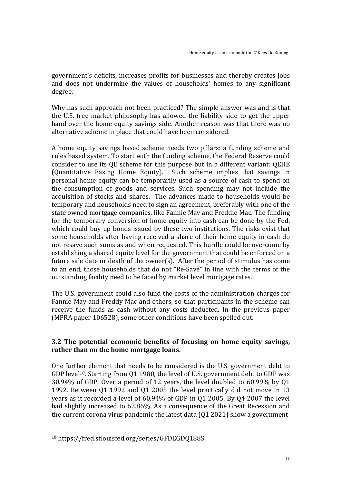government's deficits, increases profits for businesses and thereby creates jobs and does not undermine the values of households' homes to any significant degree.

Why has such approach not been practiced? The simple answer was and is that the U.S. free market philosophy has allowed the liability side to get the upper hand over the home equity savings side. Another reason was that there was no alternative scheme in place that could have been considered.

A home equity savings based scheme needs two pillars: a funding scheme and rules based system. To start with the funding scheme, the Federal Reserve could consider to use its QE scheme for this purpose but in a different variant: QEHE (Quantitative Easing Home Equity). Such scheme implies that savings in personal home equity can be temporarily used as a source of cash to spend on the consumption of goods and services. Such spending may not include the acquisition of stocks and shares. The advances made to households would be temporary and households need to sign an agreement, preferably with one of the state owned mortgage companies, like Fannie May and Freddie Mac. The funding for the temporary conversion of home equity into cash can be done by the Fed, which could buy up bonds issued by these two institutions. The risks exist that some households after having received a share of their home equity in cash do not resave such sums as and when requested. This hurdle could be overcome by establishing a shared equity level for the government that could be enforced on a future sale date or death of the owner(s). After the period of stimulus has come to an end, those households that do not "Re-Save" in line with the terms of the outstanding facility need to be faced by market level mortgage rates.

The U.S. government could also fund the costs of the administration charges for Fannie May and Freddy Mac and others, so that participants in the scheme can receive the funds as cash without any costs deducted. In the previous paper (MPRA paper 106528), some other conditions have been spelled out.

### **3.2** The potential economic benefits of focusing on home equity savings, rather than on the home mortgage loans.

One further element that needs to be considered is the U.S. government debt to GDP level<sup>10</sup>. Starting from Q1 1980, the level of U.S. government debt to GDP was 30.94% of GDP. Over a period of 12 years, the level doubled to  $60.99\%$  by Q1 1992. Between Q1 1992 and Q1 2005 the level practically did not move in 13 years as it recorded a level of  $60.94\%$  of GDP in Q1 2005. By Q4 2007 the level had slightly increased to 62.86%. As a consequence of the Great Recession and the current corona virus pandemic the latest data  $(Q1 2021)$  show a government

 

<sup>10</sup> https://fred.stlouisfed.org/series/GFDEGDQ188S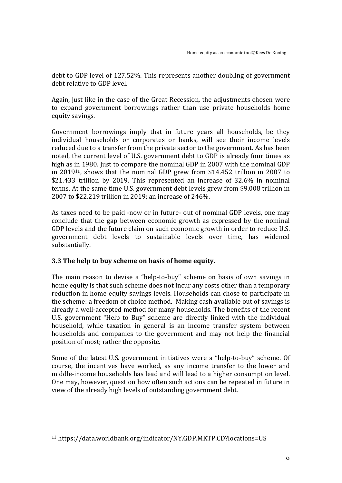debt to GDP level of 127.52%. This represents another doubling of government debt relative to GDP level.

Again, iust like in the case of the Great Recession, the adjustments chosen were to expand government borrowings rather than use private households home equity savings. 

Government borrowings imply that in future years all households, be they individual households or corporates or banks, will see their income levels reduced due to a transfer from the private sector to the government. As has been noted, the current level of U.S. government debt to GDP is already four times as high as in 1980. Just to compare the nominal GDP in 2007 with the nominal GDP in  $2019^{11}$ , shows that the nominal GDP grew from \$14.452 trillion in 2007 to \$21.433 trillion by 2019. This represented an increase of  $32.6\%$  in nominal terms. At the same time U.S. government debt levels grew from \$9.008 trillion in 2007 to \$22.219 trillion in 2019; an increase of 246%.

As taxes need to be paid -now or in future- out of nominal GDP levels, one may conclude that the gap between economic growth as expressed by the nominal GDP levels and the future claim on such economic growth in order to reduce U.S. government debt levels to sustainable levels over time, has widened substantially. 

## **3.3** The help to buy scheme on basis of home equity.

The main reason to devise a "help-to-buy" scheme on basis of own savings in home equity is that such scheme does not incur any costs other than a temporary reduction in home equity savings levels. Households can chose to participate in the scheme: a freedom of choice method. Making cash available out of savings is already a well-accepted method for many households. The benefits of the recent U.S. government "Help to Buy" scheme are directly linked with the individual household, while taxation in general is an income transfer system between households and companies to the government and may not help the financial position of most; rather the opposite.

Some of the latest U.S. government initiatives were a "help-to-buy" scheme. Of course, the incentives have worked, as any income transfer to the lower and middle-income households has lead and will lead to a higher consumption level. One may, however, question how often such actions can be repeated in future in view of the already high levels of outstanding government debt.

 <sup>11</sup> https://data.worldbank.org/indicator/NY.GDP.MKTP.CD?locations=US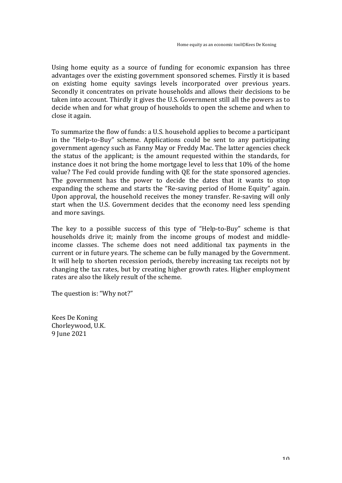Using home equity as a source of funding for economic expansion has three advantages over the existing government sponsored schemes. Firstly it is based on existing home equity savings levels incorporated over previous years. Secondly it concentrates on private households and allows their decisions to be taken into account. Thirdly it gives the U.S. Government still all the powers as to decide when and for what group of households to open the scheme and when to close it again.

To summarize the flow of funds: a U.S. household applies to become a participant in the "Help-to-Buy" scheme. Applications could be sent to any participating government agency such as Fanny May or Freddy Mac. The latter agencies check the status of the applicant; is the amount requested within the standards, for instance does it not bring the home mortgage level to less that  $10\%$  of the home value? The Fed could provide funding with QE for the state sponsored agencies. The government has the power to decide the dates that it wants to stop expanding the scheme and starts the "Re-saving period of Home Equity" again. Upon approval, the household receives the money transfer. Re-saving will only start when the U.S. Government decides that the economy need less spending and more savings.

The key to a possible success of this type of "Help-to-Buy" scheme is that households drive it; mainly from the income groups of modest and middleincome classes. The scheme does not need additional tax payments in the current or in future years. The scheme can be fully managed by the Government. It will help to shorten recession periods, thereby increasing tax receipts not by changing the tax rates, but by creating higher growth rates. Higher employment rates are also the likely result of the scheme.

The question is: "Why not?"

Kees De Koning Chorleywood, U.K. 9 Iune 2021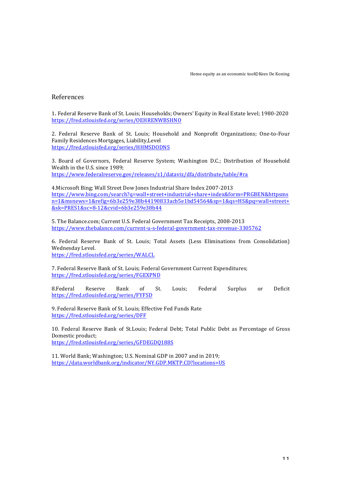#### References

1. Federal Reserve Bank of St. Louis; Households; Owners' Equity in Real Estate level; 1980-2020 https://fred.stlouisfed.org/series/OEHRENWBSHNO

2. Federal Reserve Bank of St. Louis; Household and Nonprofit Organizations; One-to-Four Family Residences Mortgages, Liability,Level https://fred.stlouisfed.org/series/HHMSDODNS

3. Board of Governors, Federal Reserve System; Washington D.C.; Distribution of Household Wealth in the U.S. since 1989: https://www.federalreserve.gov/releases/z1/dataviz/dfa/distribute/table/#ra

4. Microsoft Bing; Wall Street Dow Jones Industrial Share Index 2007-2013 https://www.bing.com/search?q=wall+street+industrial+share+index&form=PRGBEN&httpsms n=1&msnews=1&refig=6b3e259e38b44190833acb5e1bd54564&sp=1&qs=HS&pq=wall+street+ &sk=PRES1&sc=8-12&cvid=6b3e259e38b44

5. The Balance.com; Current U.S. Federal Government Tax Receipts, 2008-2013 https://www.thebalance.com/current-u-s-federal-government-tax-revenue-3305762

6. Federal Reserve Bank of St. Louis; Total Assets (Less Eliminations from Consolidation) Wednesday Level. https://fred.stlouisfed.org/series/WALCL

7. Federal Reserve Bank of St. Louis; Federal Government Current Expenditures; https://fred.stlouisfed.org/series/FGEXPND

8.Federal Reserve Bank of St. Louis; Federal Surplus or Deficit https://fred.stlouisfed.org/series/FYFSD

9. Federal Reserve Bank of St. Louis: Effective Fed Funds Rate https://fred.stlouisfed.org/series/DFF

10. Federal Reserve Bank of St.Louis; Federal Debt; Total Public Debt as Percentage of Gross Domestic product; https://fred.stlouisfed.org/series/GFDEGDQ188S

11. World Bank: Washington: U.S. Nominal GDP in 2007 and in 2019: https://data.worldbank.org/indicator/NY.GDP.MKTP.CD?locations=US